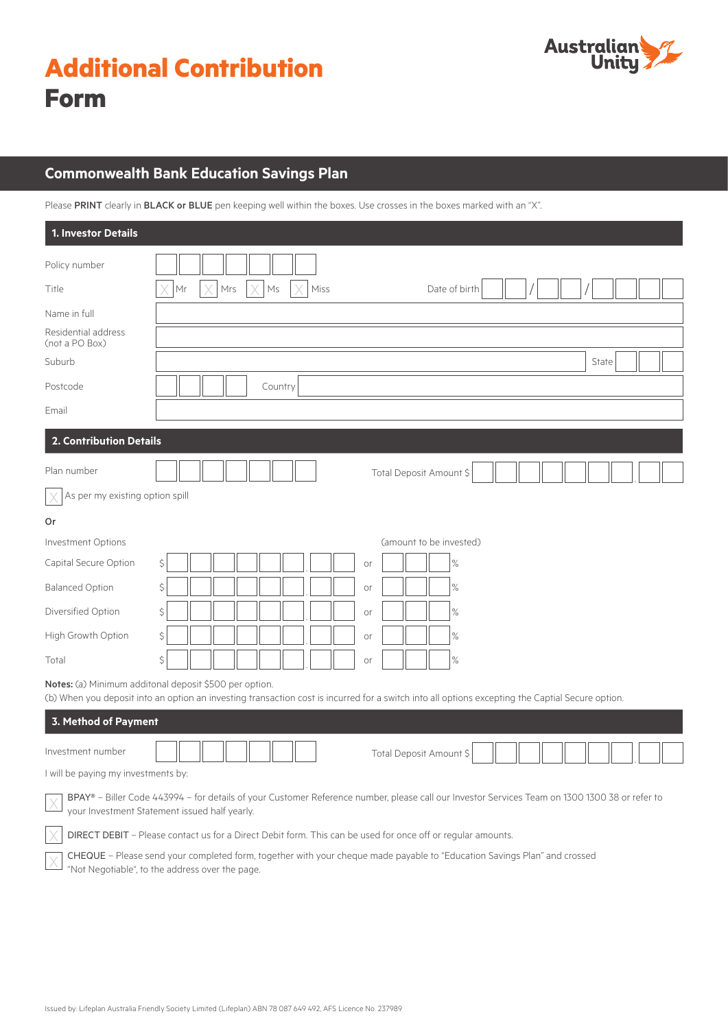|             | <b>Additional Contribution</b> |
|-------------|--------------------------------|
| <b>Form</b> |                                |



# **Commonwealth Bank Education Savings Plan**

Please PRINT clearly in BLACK or BLUE pen keeping well within the boxes. Use crosses in the boxes marked with an "X".

| <b>1. Investor Details</b>            |                                                                                                                                                                                                            |  |  |
|---------------------------------------|------------------------------------------------------------------------------------------------------------------------------------------------------------------------------------------------------------|--|--|
| Policy number                         |                                                                                                                                                                                                            |  |  |
| Title                                 | Mrs<br>Ms<br>Miss<br>Date of birth<br>Mr                                                                                                                                                                   |  |  |
| Name in full                          |                                                                                                                                                                                                            |  |  |
| Residential address<br>(not a PO Box) |                                                                                                                                                                                                            |  |  |
| Suburb                                | State                                                                                                                                                                                                      |  |  |
| Postcode                              | Country                                                                                                                                                                                                    |  |  |
| Email                                 |                                                                                                                                                                                                            |  |  |
| 2. Contribution Details               |                                                                                                                                                                                                            |  |  |
| Plan number                           | Total Deposit Amount \$                                                                                                                                                                                    |  |  |
| As per my existing option spill       |                                                                                                                                                                                                            |  |  |
| Or                                    |                                                                                                                                                                                                            |  |  |
| Investment Options                    | (amount to be invested)                                                                                                                                                                                    |  |  |
| Capital Secure Option                 | $\zeta$<br>%<br>or                                                                                                                                                                                         |  |  |
| <b>Balanced Option</b>                | $\%$<br>Ŝ<br>or                                                                                                                                                                                            |  |  |
| Diversified Option                    | $\%$<br>\$<br>or                                                                                                                                                                                           |  |  |
| High Growth Option                    | \$<br>$\%$<br>or                                                                                                                                                                                           |  |  |
| Total                                 | \$<br>$\%$<br>or                                                                                                                                                                                           |  |  |
|                                       | Notes: (a) Minimum additonal deposit \$500 per option.<br>(b) When you deposit into an option an investing transaction cost is incurred for a switch into all options excepting the Captial Secure option. |  |  |
| 3. Method of Payment                  |                                                                                                                                                                                                            |  |  |
| Investment number                     | Total Deposit Amount \$                                                                                                                                                                                    |  |  |
| I will be paying my investments by:   |                                                                                                                                                                                                            |  |  |
|                                       | BPAY® - Biller Code 443994 - for details of your Customer Reference number, please call our Investor Services Team on 1300 1300 38 or refer to<br>your Investment Statement issued half yearly.            |  |  |
|                                       | DIRECT DEBIT - Please contact us for a Direct Debit form. This can be used for once off or regular amounts.                                                                                                |  |  |
|                                       | CHEQUE - Please send your completed form, together with your cheque made payable to "Education Savings Plan" and crossed<br>"Not Negotiable", to the address over the page.                                |  |  |